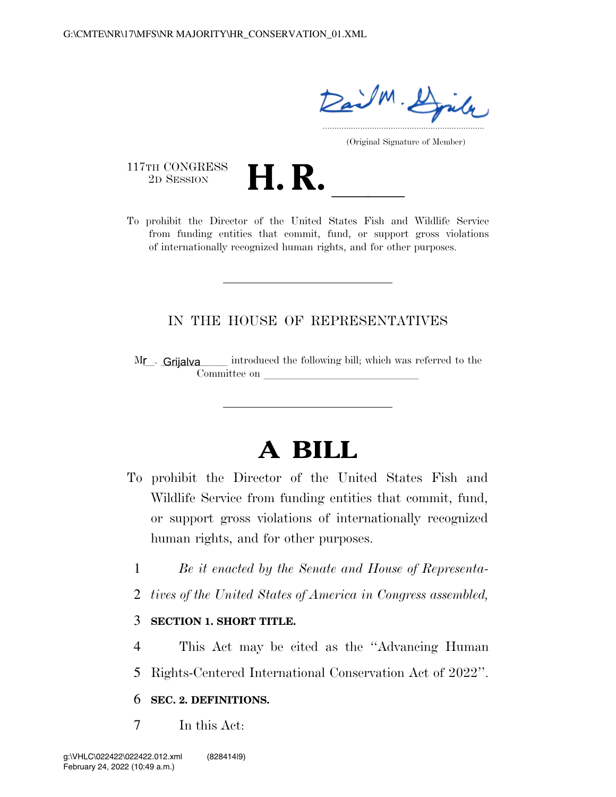ail M. Djule .....................................................................

(Original Signature of Member)

117TH CONGRESS<br>2D SESSION

117TH CONGRESS<br>
2D SESSION<br>
To prohibit the Director of the United States Fish and Wildlife Service from funding entities that commit, fund, or support gross violations of internationally recognized human rights, and for other purposes.

### IN THE HOUSE OF REPRESENTATIVES

introduced the following bill; which was referred to the Committee on  $Mr -$  Grijalva

# **A BILL**

- To prohibit the Director of the United States Fish and Wildlife Service from funding entities that commit, fund, or support gross violations of internationally recognized human rights, and for other purposes.
	- 1 *Be it enacted by the Senate and House of Representa-*
	- 2 *tives of the United States of America in Congress assembled,*

#### 3 **SECTION 1. SHORT TITLE.**

- 4 This Act may be cited as the ''Advancing Human
- 5 Rights-Centered International Conservation Act of 2022''.

#### 6 **SEC. 2. DEFINITIONS.**

7 In this Act: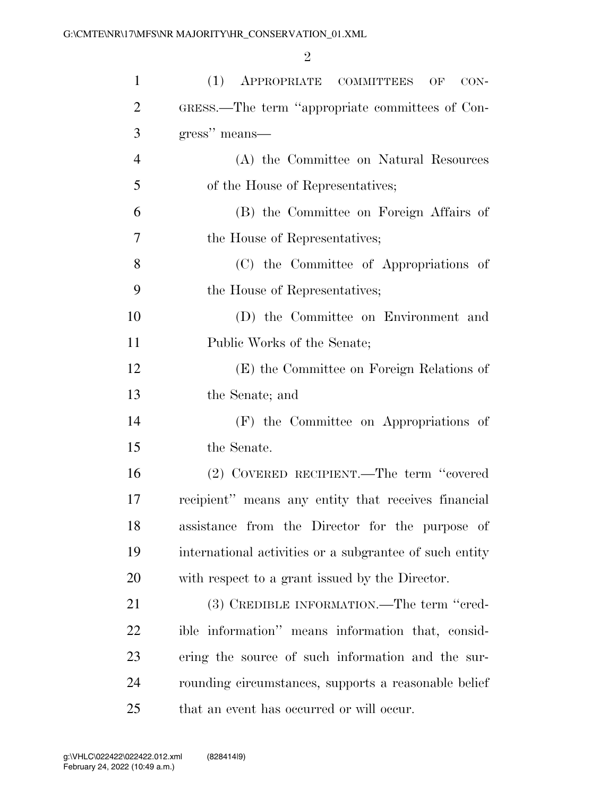| $\mathbf{1}$   | (1)<br>APPROPRIATE COMMITTEES<br>OF<br>$CON-$           |
|----------------|---------------------------------------------------------|
| $\overline{2}$ | GRESS.—The term "appropriate committees of Con-         |
| 3              | gress" means—                                           |
| $\overline{4}$ | (A) the Committee on Natural Resources                  |
| 5              | of the House of Representatives;                        |
| 6              | (B) the Committee on Foreign Affairs of                 |
| 7              | the House of Representatives;                           |
| 8              | (C) the Committee of Appropriations of                  |
| 9              | the House of Representatives;                           |
| 10             | (D) the Committee on Environment and                    |
| 11             | Public Works of the Senate;                             |
| 12             | (E) the Committee on Foreign Relations of               |
| 13             | the Senate; and                                         |
| 14             | (F) the Committee on Appropriations of                  |
| 15             | the Senate.                                             |
| 16             | (2) COVERED RECIPIENT.—The term "covered                |
| 17             | recipient" means any entity that receives financial     |
| 18             | assistance from the Director for the purpose of         |
| 19             | international activities or a subgrantee of such entity |
| 20             | with respect to a grant issued by the Director.         |
| 21             | (3) CREDIBLE INFORMATION.—The term "cred-               |
| 22             | ible information" means information that, consid-       |
| 23             | ering the source of such information and the sur-       |
| 24             | rounding circumstances, supports a reasonable belief    |
| 25             | that an event has occurred or will occur.               |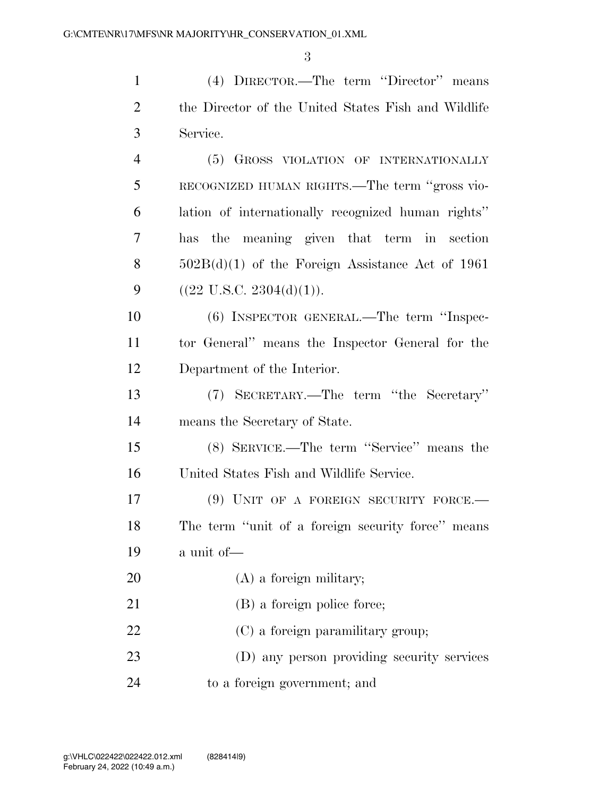(4) DIRECTOR.—The term ''Director'' means

 the Director of the United States Fish and Wildlife Service. (5) GROSS VIOLATION OF INTERNATIONALLY RECOGNIZED HUMAN RIGHTS.—The term ''gross vio- lation of internationally recognized human rights'' has the meaning given that term in section  $502B(d)(1)$  of the Foreign Assistance Act of 1961  $((22 \text{ U.S.C. } 2304(d)(1))).$  (6) INSPECTOR GENERAL.—The term ''Inspec- tor General'' means the Inspector General for the Department of the Interior. (7) SECRETARY.—The term ''the Secretary'' means the Secretary of State. (8) SERVICE.—The term ''Service'' means the United States Fish and Wildlife Service. 17 (9) UNIT OF A FOREIGN SECURITY FORCE. The term ''unit of a foreign security force'' means a unit of— (A) a foreign military; 21 (B) a foreign police force;

22 (C) a foreign paramilitary group;

 (D) any person providing security services to a foreign government; and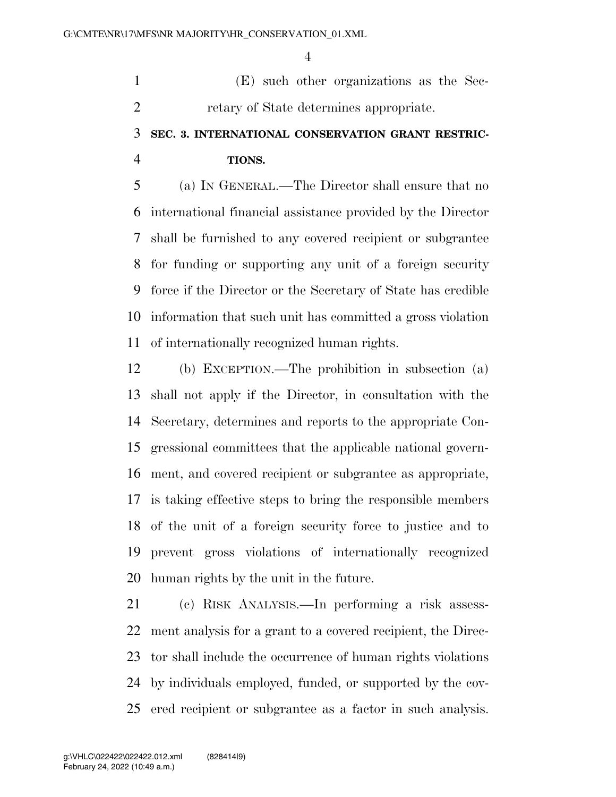(E) such other organizations as the Sec-retary of State determines appropriate.

## **SEC. 3. INTERNATIONAL CONSERVATION GRANT RESTRIC-TIONS.**

 (a) IN GENERAL.—The Director shall ensure that no international financial assistance provided by the Director shall be furnished to any covered recipient or subgrantee for funding or supporting any unit of a foreign security force if the Director or the Secretary of State has credible information that such unit has committed a gross violation of internationally recognized human rights.

 (b) EXCEPTION.—The prohibition in subsection (a) shall not apply if the Director, in consultation with the Secretary, determines and reports to the appropriate Con- gressional committees that the applicable national govern- ment, and covered recipient or subgrantee as appropriate, is taking effective steps to bring the responsible members of the unit of a foreign security force to justice and to prevent gross violations of internationally recognized human rights by the unit in the future.

 (c) RISK ANALYSIS.—In performing a risk assess- ment analysis for a grant to a covered recipient, the Direc- tor shall include the occurrence of human rights violations by individuals employed, funded, or supported by the cov-ered recipient or subgrantee as a factor in such analysis.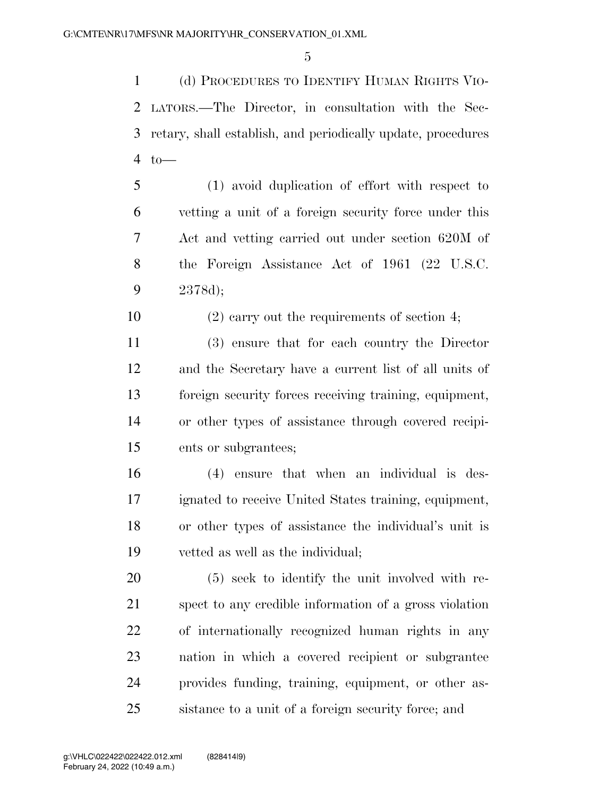(d) PROCEDURES TO IDENTIFY HUMAN RIGHTS VIO- LATORS.—The Director, in consultation with the Sec- retary, shall establish, and periodically update, procedures to—

 (1) avoid duplication of effort with respect to vetting a unit of a foreign security force under this Act and vetting carried out under section 620M of the Foreign Assistance Act of 1961 (22 U.S.C. 2378d);

(2) carry out the requirements of section 4;

 (3) ensure that for each country the Director and the Secretary have a current list of all units of foreign security forces receiving training, equipment, or other types of assistance through covered recipi-ents or subgrantees;

 (4) ensure that when an individual is des- ignated to receive United States training, equipment, or other types of assistance the individual's unit is vetted as well as the individual;

 (5) seek to identify the unit involved with re- spect to any credible information of a gross violation of internationally recognized human rights in any nation in which a covered recipient or subgrantee provides funding, training, equipment, or other as-sistance to a unit of a foreign security force; and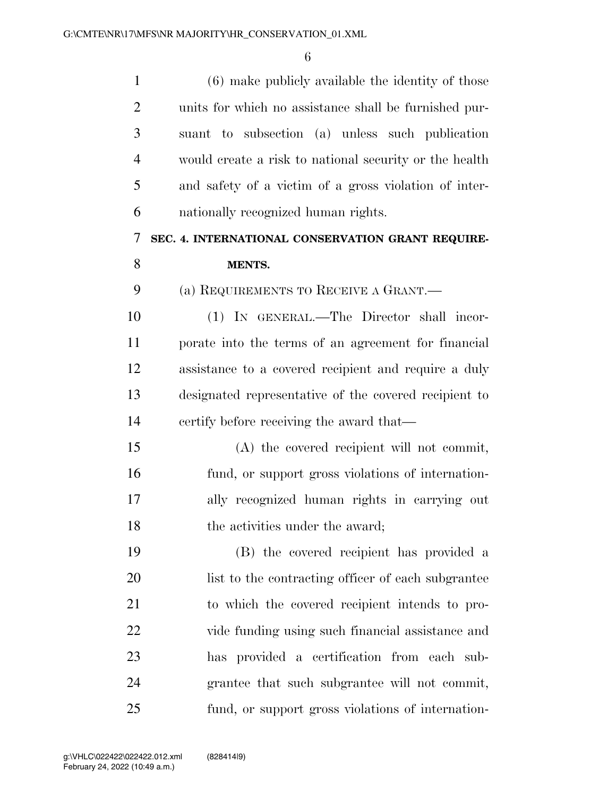| $\mathbf{1}$   | (6) make publicly available the identity of those      |
|----------------|--------------------------------------------------------|
| $\overline{2}$ | units for which no assistance shall be furnished pur-  |
| 3              | suant to subsection (a) unless such publication        |
| $\overline{4}$ | would create a risk to national security or the health |
| 5              | and safety of a victim of a gross violation of inter-  |
| 6              | nationally recognized human rights.                    |
| 7              | SEC. 4. INTERNATIONAL CONSERVATION GRANT REQUIRE-      |
| 8              | <b>MENTS.</b>                                          |
| 9              | (a) REQUIREMENTS TO RECEIVE A GRANT.—                  |
| 10             | (1) IN GENERAL.—The Director shall incor-              |
| 11             | porate into the terms of an agreement for financial    |
| 12             | assistance to a covered recipient and require a duly   |
| 13             | designated representative of the covered recipient to  |
| 14             | certify before receiving the award that—               |
| 15             | (A) the covered recipient will not commit,             |
| 16             | fund, or support gross violations of internation-      |
| 17             | ally recognized human rights in carrying out           |
| 18             | the activities under the award;                        |
| 19             | (B) the covered recipient has provided a               |
| 20             | list to the contracting officer of each subgrantee     |
| 21             | to which the covered recipient intends to pro-         |
| 22             | vide funding using such financial assistance and       |
| 23             | has provided a certification from each sub-            |
| 24             | grantee that such subgrantee will not commit,          |
| 25             | fund, or support gross violations of internation-      |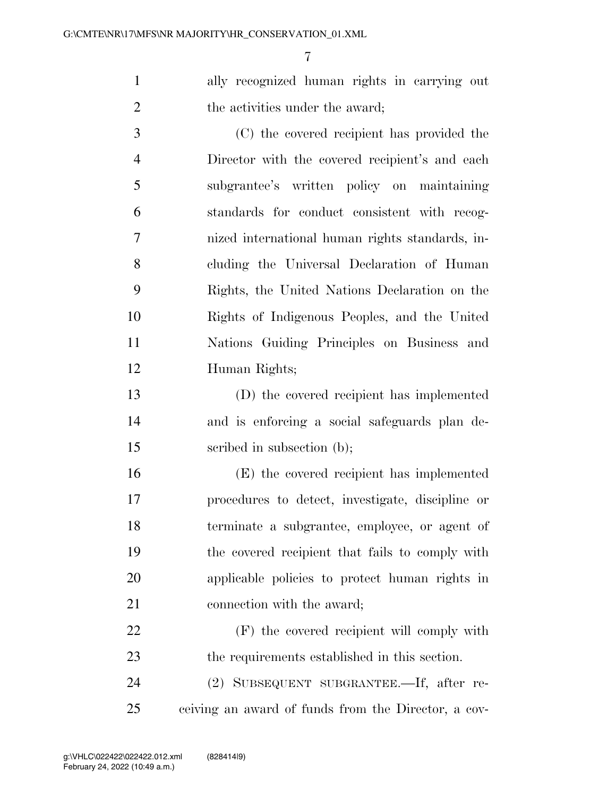ally recognized human rights in carrying out 2 the activities under the award;

 (C) the covered recipient has provided the Director with the covered recipient's and each subgrantee's written policy on maintaining standards for conduct consistent with recog- nized international human rights standards, in- cluding the Universal Declaration of Human Rights, the United Nations Declaration on the Rights of Indigenous Peoples, and the United Nations Guiding Principles on Business and Human Rights;

 (D) the covered recipient has implemented and is enforcing a social safeguards plan de-15 seribed in subsection (b);

 (E) the covered recipient has implemented procedures to detect, investigate, discipline or terminate a subgrantee, employee, or agent of the covered recipient that fails to comply with applicable policies to protect human rights in connection with the award;

 (F) the covered recipient will comply with the requirements established in this section.

 (2) SUBSEQUENT SUBGRANTEE.—If, after re-ceiving an award of funds from the Director, a cov-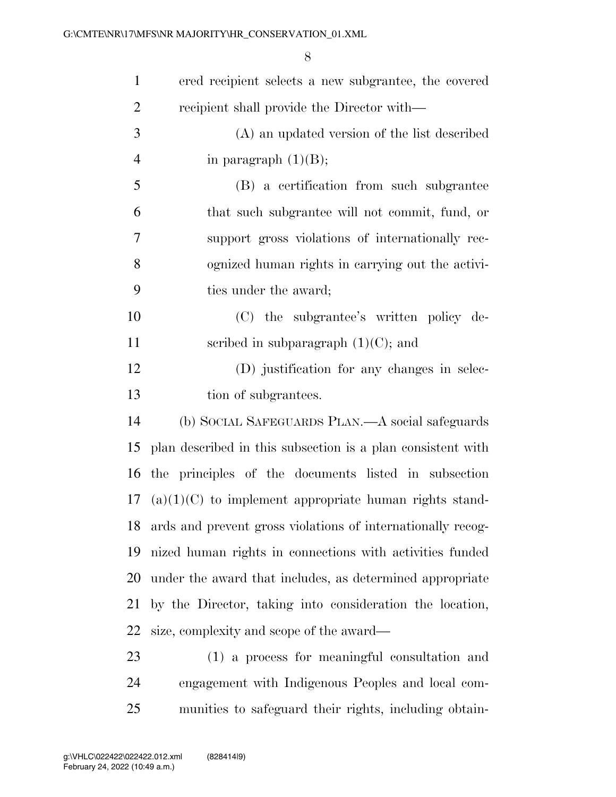| $\mathbf{1}$   | ered recipient selects a new subgrantee, the covered         |
|----------------|--------------------------------------------------------------|
| $\overline{2}$ | recipient shall provide the Director with—                   |
| 3              | (A) an updated version of the list described                 |
| $\overline{4}$ | in paragraph $(1)(B)$ ;                                      |
| 5              | (B) a certification from such subgrantee                     |
| 6              | that such subgrantee will not commit, fund, or               |
| 7              | support gross violations of internationally rec-             |
| 8              | ognized human rights in carrying out the activi-             |
| 9              | ties under the award;                                        |
| 10             | (C) the subgrantee's written policy de-                      |
| 11             | scribed in subparagraph $(1)(C)$ ; and                       |
| 12             | (D) justification for any changes in selec-                  |
| 13             | tion of subgrantees.                                         |
| 14             | (b) SOCIAL SAFEGUARDS PLAN.—A social safeguards              |
| 15             | plan described in this subsection is a plan consistent with  |
| 16             | the principles of the documents listed in subsection         |
|                | 17 (a) $(1)(C)$ to implement appropriate human rights stand- |
| 18             | ards and prevent gross violations of internationally recog-  |
| 19             | nized human rights in connections with activities funded     |
| 20             | under the award that includes, as determined appropriate     |
| 21             | by the Director, taking into consideration the location,     |
| 22             | size, complexity and scope of the award—                     |
| 23             | (1) a process for meaningful consultation and                |
| 24             | engagement with Indigenous Peoples and local com-            |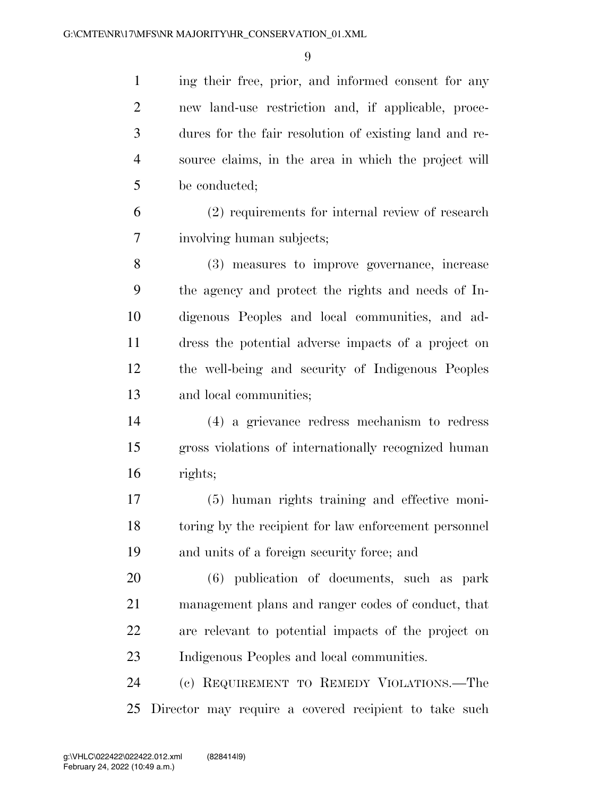ing their free, prior, and informed consent for any new land-use restriction and, if applicable, proce- dures for the fair resolution of existing land and re- source claims, in the area in which the project will be conducted;

 (2) requirements for internal review of research involving human subjects;

 (3) measures to improve governance, increase the agency and protect the rights and needs of In- digenous Peoples and local communities, and ad- dress the potential adverse impacts of a project on the well-being and security of Indigenous Peoples and local communities;

 (4) a grievance redress mechanism to redress gross violations of internationally recognized human rights;

 (5) human rights training and effective moni- toring by the recipient for law enforcement personnel and units of a foreign security force; and

 (6) publication of documents, such as park management plans and ranger codes of conduct, that are relevant to potential impacts of the project on Indigenous Peoples and local communities.

 (c) REQUIREMENT TO REMEDY VIOLATIONS.—The Director may require a covered recipient to take such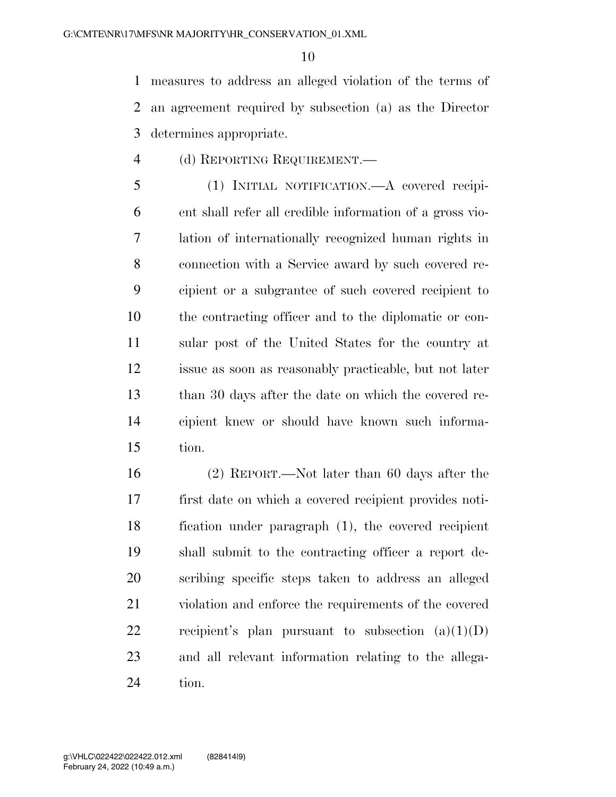measures to address an alleged violation of the terms of an agreement required by subsection (a) as the Director determines appropriate.

(d) REPORTING REQUIREMENT.—

 (1) INITIAL NOTIFICATION.—A covered recipi- ent shall refer all credible information of a gross vio- lation of internationally recognized human rights in connection with a Service award by such covered re- cipient or a subgrantee of such covered recipient to the contracting officer and to the diplomatic or con- sular post of the United States for the country at issue as soon as reasonably practicable, but not later than 30 days after the date on which the covered re- cipient knew or should have known such informa-tion.

 (2) REPORT.—Not later than 60 days after the first date on which a covered recipient provides noti- fication under paragraph (1), the covered recipient shall submit to the contracting officer a report de- scribing specific steps taken to address an alleged violation and enforce the requirements of the covered 22 recipient's plan pursuant to subsection  $(a)(1)(D)$  and all relevant information relating to the allega-tion.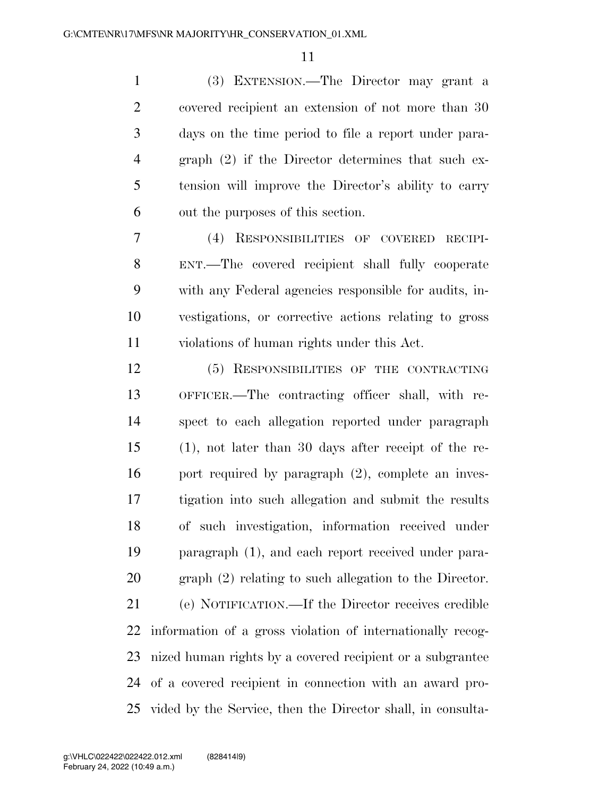(3) EXTENSION.—The Director may grant a covered recipient an extension of not more than 30 days on the time period to file a report under para- graph (2) if the Director determines that such ex- tension will improve the Director's ability to carry out the purposes of this section.

 (4) RESPONSIBILITIES OF COVERED RECIPI- ENT.—The covered recipient shall fully cooperate with any Federal agencies responsible for audits, in- vestigations, or corrective actions relating to gross violations of human rights under this Act.

 (5) RESPONSIBILITIES OF THE CONTRACTING OFFICER.—The contracting officer shall, with re- spect to each allegation reported under paragraph (1), not later than 30 days after receipt of the re-16 port required by paragraph (2), complete an inves- tigation into such allegation and submit the results of such investigation, information received under paragraph (1), and each report received under para- graph (2) relating to such allegation to the Director. (e) NOTIFICATION.—If the Director receives credible information of a gross violation of internationally recog- nized human rights by a covered recipient or a subgrantee of a covered recipient in connection with an award pro-vided by the Service, then the Director shall, in consulta-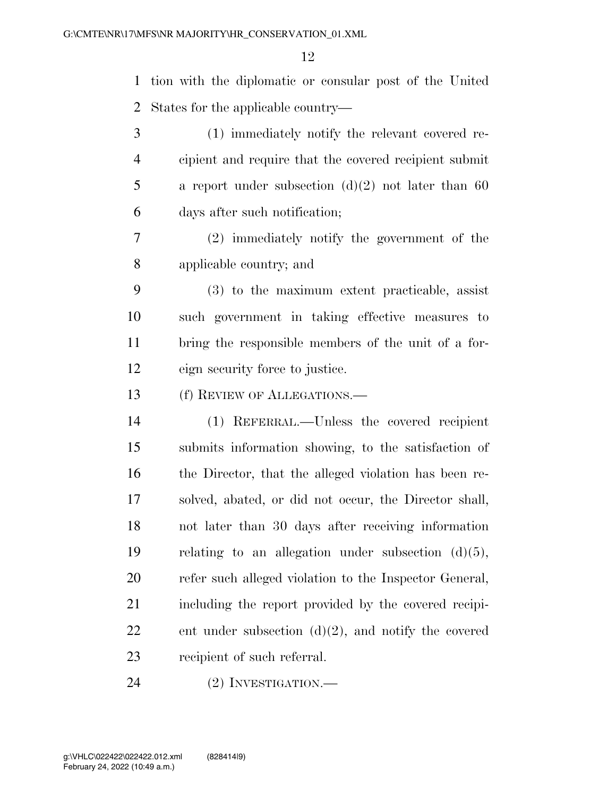tion with the diplomatic or consular post of the United States for the applicable country—

 (1) immediately notify the relevant covered re- cipient and require that the covered recipient submit a report under subsection (d)(2) not later than 60 days after such notification;

 (2) immediately notify the government of the applicable country; and

 (3) to the maximum extent practicable, assist such government in taking effective measures to bring the responsible members of the unit of a for-eign security force to justice.

13 (f) REVIEW OF ALLEGATIONS.—

 (1) REFERRAL.—Unless the covered recipient submits information showing, to the satisfaction of the Director, that the alleged violation has been re- solved, abated, or did not occur, the Director shall, not later than 30 days after receiving information relating to an allegation under subsection (d)(5), refer such alleged violation to the Inspector General, including the report provided by the covered recipi-22 ent under subsection  $(d)(2)$ , and notify the covered recipient of such referral.

24 (2) INVESTIGATION.—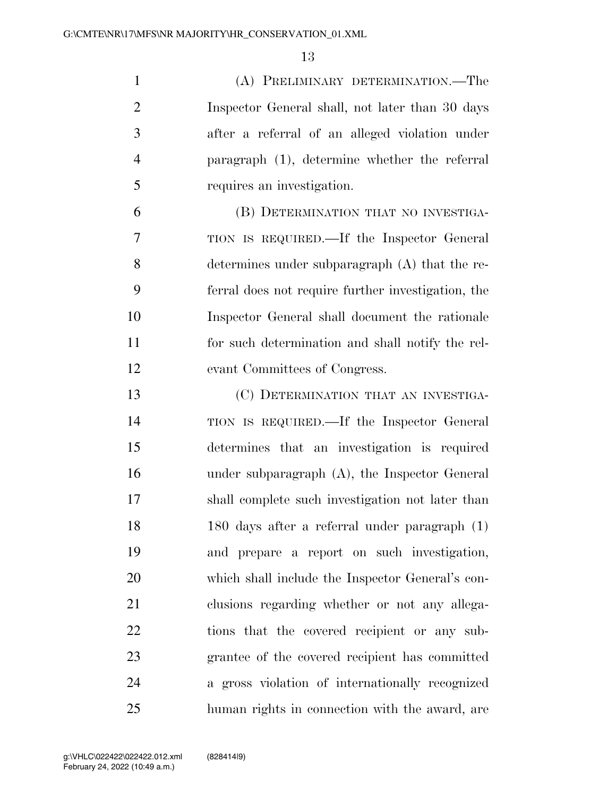(A) PRELIMINARY DETERMINATION.—The Inspector General shall, not later than 30 days after a referral of an alleged violation under paragraph (1), determine whether the referral requires an investigation.

 (B) DETERMINATION THAT NO INVESTIGA- TION IS REQUIRED.—If the Inspector General determines under subparagraph (A) that the re- ferral does not require further investigation, the Inspector General shall document the rationale for such determination and shall notify the rel-evant Committees of Congress.

 (C) DETERMINATION THAT AN INVESTIGA- TION IS REQUIRED.—If the Inspector General determines that an investigation is required under subparagraph (A), the Inspector General shall complete such investigation not later than 180 days after a referral under paragraph (1) and prepare a report on such investigation, which shall include the Inspector General's con- clusions regarding whether or not any allega- tions that the covered recipient or any sub- grantee of the covered recipient has committed a gross violation of internationally recognized human rights in connection with the award, are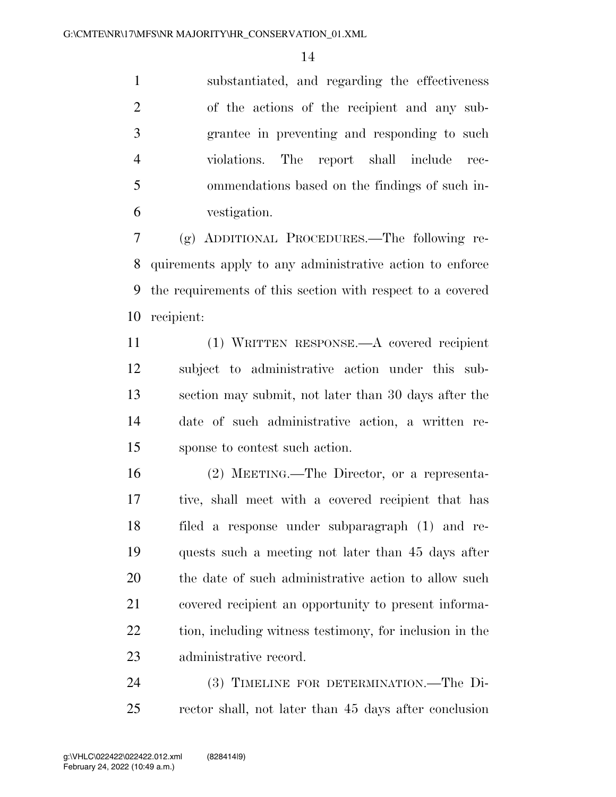substantiated, and regarding the effectiveness of the actions of the recipient and any sub- grantee in preventing and responding to such violations. The report shall include rec- ommendations based on the findings of such in-vestigation.

 (g) ADDITIONAL PROCEDURES.—The following re- quirements apply to any administrative action to enforce the requirements of this section with respect to a covered recipient:

 (1) WRITTEN RESPONSE.—A covered recipient subject to administrative action under this sub- section may submit, not later than 30 days after the date of such administrative action, a written re-sponse to contest such action.

 (2) MEETING.—The Director, or a representa- tive, shall meet with a covered recipient that has filed a response under subparagraph (1) and re- quests such a meeting not later than 45 days after the date of such administrative action to allow such covered recipient an opportunity to present informa- tion, including witness testimony, for inclusion in the administrative record.

 (3) TIMELINE FOR DETERMINATION.—The Di-rector shall, not later than 45 days after conclusion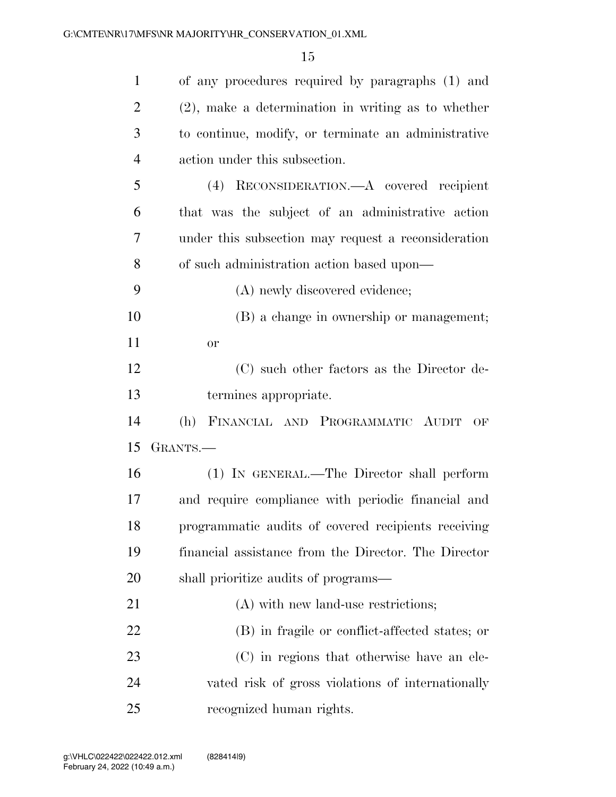| $\mathbf{1}$   | of any procedures required by paragraphs (1) and      |
|----------------|-------------------------------------------------------|
| $\overline{2}$ | $(2)$ , make a determination in writing as to whether |
| 3              | to continue, modify, or terminate an administrative   |
| $\overline{4}$ | action under this subsection.                         |
| 5              | (4) RECONSIDERATION.—A covered recipient              |
| 6              | that was the subject of an administrative action      |
| 7              | under this subsection may request a reconsideration   |
| 8              | of such administration action based upon—             |
| 9              | (A) newly discovered evidence;                        |
| 10             | (B) a change in ownership or management;              |
| 11             | <b>or</b>                                             |
| 12             | (C) such other factors as the Director de-            |
| 13             | termines appropriate.                                 |
| 14             | (h) FINANCIAL AND PROGRAMMATIC AUDIT<br>OF            |
| 15             | GRANTS.—                                              |
| 16             | (1) IN GENERAL.—The Director shall perform            |
| 17             | and require compliance with periodic financial and    |
| 18             | programmatic audits of covered recipients receiving   |
| 19             | financial assistance from the Director. The Director  |
| 20             | shall prioritize audits of programs—                  |
| 21             | (A) with new land-use restrictions;                   |
| 22             | (B) in fragile or conflict-affected states; or        |
| 23             | (C) in regions that otherwise have an ele-            |
| 24             | vated risk of gross violations of internationally     |
| 25             | recognized human rights.                              |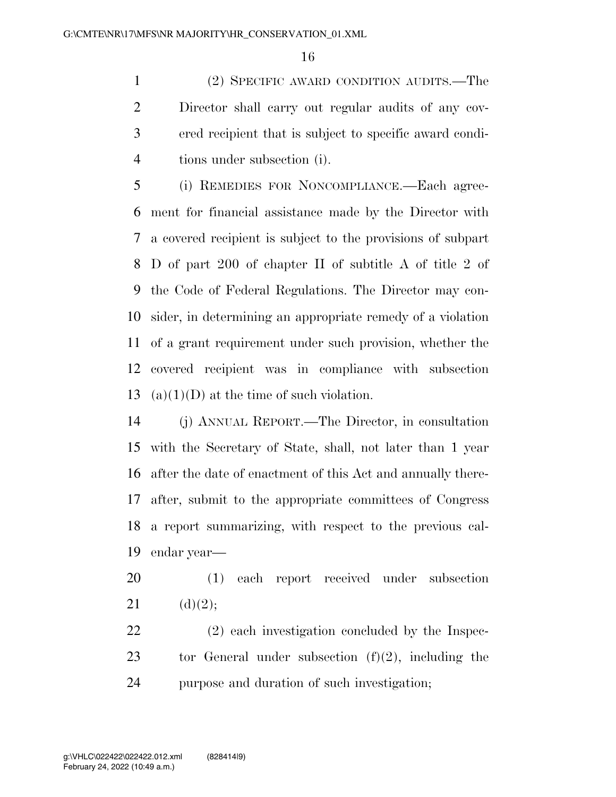(2) SPECIFIC AWARD CONDITION AUDITS.—The Director shall carry out regular audits of any cov- ered recipient that is subject to specific award condi-tions under subsection (i).

 (i) REMEDIES FOR NONCOMPLIANCE.—Each agree- ment for financial assistance made by the Director with a covered recipient is subject to the provisions of subpart D of part 200 of chapter II of subtitle A of title 2 of the Code of Federal Regulations. The Director may con- sider, in determining an appropriate remedy of a violation of a grant requirement under such provision, whether the covered recipient was in compliance with subsection 13 (a)(1)(D) at the time of such violation.

 (j) ANNUAL REPORT.—The Director, in consultation with the Secretary of State, shall, not later than 1 year after the date of enactment of this Act and annually there- after, submit to the appropriate committees of Congress a report summarizing, with respect to the previous cal-endar year—

 (1) each report received under subsection 21 (d)(2);

 (2) each investigation concluded by the Inspec-23 tor General under subsection  $(f)(2)$ , including the purpose and duration of such investigation;